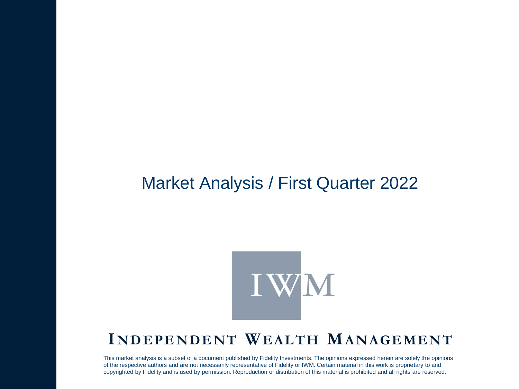### Market Analysis / First Quarter 2022



### **I ND EP END ENT WEALTH MANA G EM ENT**

This market analysis is a subset of a document published by Fidelity Investments. The opinions expressed herein are solely the opinions of the respective authors and are not necessarily representative of Fidelity or IWM. Certain material in this work is proprietary to and copyrighted by Fidelity and is used by permission. Reproduction or distribution of this material is prohibited and all rights are reserved.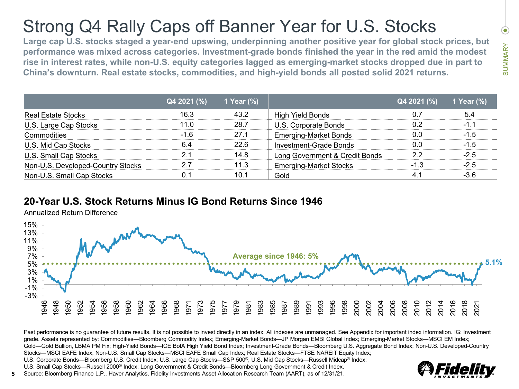# Strong Q4 Rally Caps off Banner Year for U.S. Stocks

**Large cap U.S. stocks staged a year-end upswing, underpinning another positive year for global stock prices, but performance was mixed across categories. Investment-grade bonds finished the year in the red amid the modest rise in interest rates, while non-U.S. equity categories lagged as emerging-market stocks dropped due in part to China's downturn. Real estate stocks, commodities, and high-yield bonds all posted solid 2021 returns.**

|                                   | Q4 2021 (%) | 1 Year $(\%)$ |                                | Q4 2021 (%) | 1 Year $(\%)$ |
|-----------------------------------|-------------|---------------|--------------------------------|-------------|---------------|
| Real Estate Stocks                | 16.3        | 432           | High Yield Bonds               |             | 54            |
| U.S. Large Cap Stocks             | 11 N        | 28.7          | U.S. Corporate Bonds           |             | -1 1          |
| Commodities                       |             | 27 1          | <b>Emerging-Market Bonds</b>   |             | $-1.5$        |
| U.S. Mid Cap Stocks               |             | 22 R          | Investment-Grade Bonds         |             | $-1.5$        |
| U.S. Small Cap Stocks             |             | 14.8          | Long Government & Credit Bonds |             |               |
| Non-U.S. Developed-Country Stocks |             | 11.3          | <b>Emerging-Market Stocks</b>  |             |               |
| Non-U.S. Small Cap Stocks         |             | 10.1          | Gold                           |             |               |

#### **20-Year U.S. Stock Returns Minus IG Bond Returns Since 1946**

Annualized Return Difference



Past performance is no guarantee of future results. It is not possible to invest directly in an index. All indexes are unmanaged. See Appendix for important index information. IG: Investment grade. Assets represented by: Commodities—Bloomberg Commodity Index; Emerging-Market Bonds—JP Morgan EMBI Global Index; Emerging-Market Stocks—MSCI EM Index; Gold—Gold Bullion, LBMA PM Fix; High-Yield Bonds—ICE BofA High Yield Bond Index; Investment-Grade Bonds—Bloomberg U.S. Aggregate Bond Index; Non-U.S. Developed-Country Stocks—MSCI EAFE Index; Non-U.S. Small Cap Stocks—MSCI EAFE Small Cap Index; Real Estate Stocks—FTSE NAREIT Equity Index;

U.S. Corporate Bonds—Bloomberg U.S. Credit Index; U.S. Large Cap Stocks—S&P 500®; U.S. Mid Cap Stocks—Russell Midcap® Index;

U.S. Small Cap Stocks—Russell 2000® Index; Long Government & Credit Bonds—Bloomberg Long Government & Credit Index.



 $\bullet$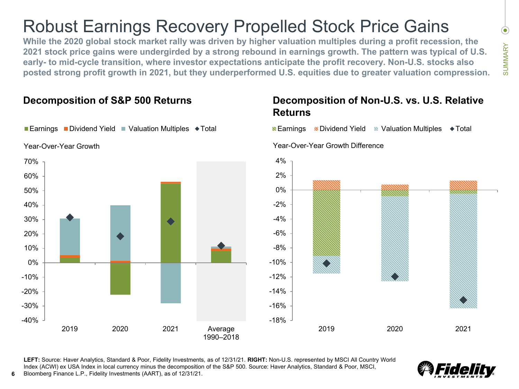### Robust Earnings Recovery Propelled Stock Price Gains

**While the 2020 global stock market rally was driven by higher valuation multiples during a profit recession, the 2021 stock price gains were undergirded by a strong rebound in earnings growth. The pattern was typical of U.S. early- to mid-cycle transition, where investor expectations anticipate the profit recovery. Non-U.S. stocks also posted strong profit growth in 2021, but they underperformed U.S. equities due to greater valuation compression.**

#### -18% -16%  $-14%$ -12%  $-10%$ -8% -6% -4% -2% 0% 2% 4% 2019 2020 2021 ■ Earnings ■ Dividend Yield ■ Valuation Multiples ● Total  $-40%$ -30% -20% -10% 0% 10% 20% 30% 40% 50% 60% 70% 2019 2020 2021 Average 1990–2018 **Earnings Dividend Yield Valuation Multiples**  $\blacklozenge$  **Total** Year-Over-Year Growth Year-Over-Year Growth Difference

**Decomposition of S&P 500 Returns**

#### **Decomposition of Non-U.S. vs. U.S. Relative Returns**

**LEFT:** Source: Haver Analytics, Standard & Poor, Fidelity Investments, as of 12/31/21. **RIGHT:** Non-U.S. represented by MSCI All Country World Index (ACWI) ex USA Index in local currency minus the decomposition of the S&P 500. Source: Haver Analytics, Standard & Poor, MSCI, **6** Bloomberg Finance L.P., Fidelity Investments (AART), as of 12/31/21.



 $\bullet$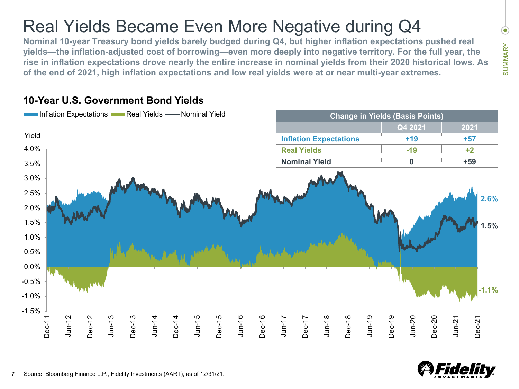### Real Yields Became Even More Negative during Q4

**Nominal 10-year Treasury bond yields barely budged during Q4, but higher inflation expectations pushed real yields—the inflation-adjusted cost of borrowing—even more deeply into negative territory. For the full year, the rise in inflation expectations drove nearly the entire increase in nominal yields from their 2020 historical lows. As of the end of 2021, high inflation expectations and low real yields were at or near multi-year extremes.**



### **10-Year U.S. Government Bond Yields**



 $\odot$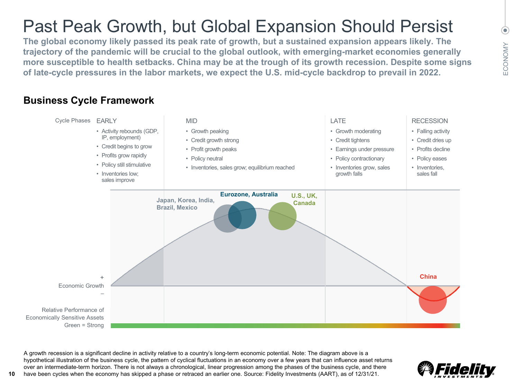# Past Peak Growth, but Global Expansion Should Persist

**The global economy likely passed its peak rate of growth, but a sustained expansion appears likely. The trajectory of the pandemic will be crucial to the global outlook, with emerging-market economies generally more susceptible to health setbacks. China may be at the trough of its growth recession. Despite some signs of late-cycle pressures in the labor markets, we expect the U.S. mid-cycle backdrop to prevail in 2022.**

### **Business Cycle Framework**



A growth recession is a significant decline in activity relative to a country's long-term economic potential. Note: The diagram above is a hypothetical illustration of the business cycle, the pattern of cyclical fluctuations in an economy over a few years that can influence asset returns over an intermediate-term horizon. There is not always a chronological, linear progression among the phases of the business cycle, and there have been cycles when the economy has skipped a phase or retraced an earlier one. Source: Fidelity Investments (AART), as of 12/31/21.

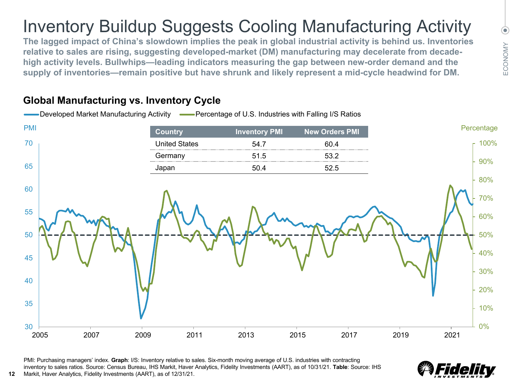# Inventory Buildup Suggests Cooling Manufacturing Activity

**The lagged impact of China's slowdown implies the peak in global industrial activity is behind us. Inventories relative to sales are rising, suggesting developed-market (DM) manufacturing may decelerate from decadehigh activity levels. Bullwhips—leading indicators measuring the gap between new-order demand and the supply of inventories—remain positive but have shrunk and likely represent a mid-cycle headwind for DM.** 



#### **Global Manufacturing vs. Inventory Cycle**

**12**

PMI: Purchasing managers' index. **Graph**: I/S: Inventory relative to sales. Six-month moving average of U.S. industries with contracting inventory to sales ratios. Source: Census Bureau, IHS Markit, Haver Analytics, Fidelity Investments (AART), as of 10/31/21. **Table**: Source: IHS Markit, Haver Analytics, Fidelity Investments (AART), as of 12/31/21.



 $\circledbullet$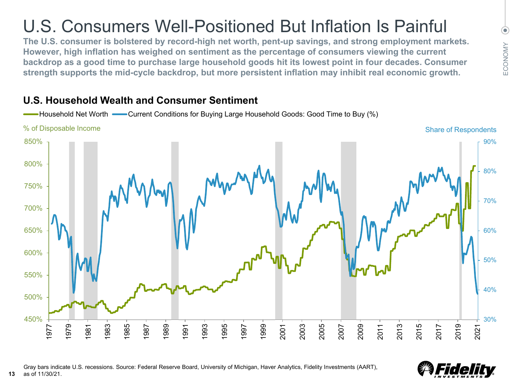# U.S. Consumers Well-Positioned But Inflation Is Painful

**The U.S. consumer is bolstered by record-high net worth, pent-up savings, and strong employment markets. However, high inflation has weighed on sentiment as the percentage of consumers viewing the current backdrop as a good time to purchase large household goods hit its lowest point in four decades. Consumer strength supports the mid-cycle backdrop, but more persistent inflation may inhibit real economic growth.** 

#### **U.S. Household Wealth and Consumer Sentiment**





 $\circledbullet$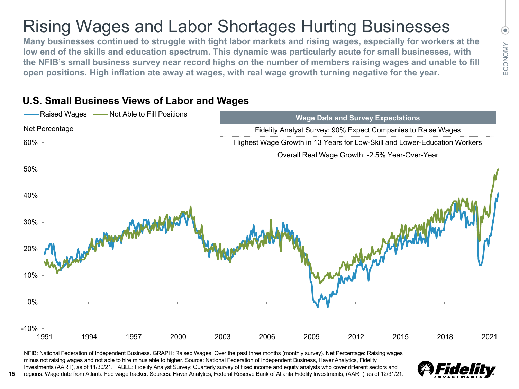# Rising Wages and Labor Shortages Hurting Businesses

**Many businesses continued to struggle with tight labor markets and rising wages, especially for workers at the low end of the skills and education spectrum. This dynamic was particularly acute for small businesses, with the NFIB's small business survey near record highs on the number of members raising wages and unable to fill open positions. High inflation ate away at wages, with real wage growth turning negative for the year.**

### **U.S. Small Business Views of Labor and Wages**

**15**



NFIB: National Federation of Independent Business. GRAPH: Raised Wages: Over the past three months (monthly survey). Net Percentage: Raising wages minus not raising wages and not able to hire minus able to higher. Source: National Federation of Independent Business, Haver Analytics, Fidelity Investments (AART), as of 11/30/21. TABLE: Fidelity Analyst Survey: Quarterly survey of fixed income and equity analysts who cover different sectors and regions. Wage date from Atlanta Fed wage tracker. Sources: Haver Analytics, Federal Reserve Bank of Atlanta Fidelity Investments, (AART), as of 12/31/21.



 $\odot$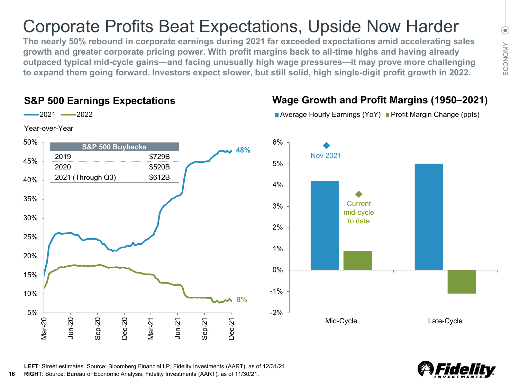### Corporate Profits Beat Expectations, Upside Now Harder

**The nearly 50% rebound in corporate earnings during 2021 far exceeded expectations amid accelerating sales growth and greater corporate pricing power. With profit margins back to all-time highs and having already outpaced typical mid-cycle gains—and facing unusually high wage pressures—it may prove more challenging to expand them going forward. Investors expect slower, but still solid, high single-digit profit growth in 2022.**

#### **S&P 500 Earnings Expectations**





### **Wage Growth and Profit Margins (1950–2021)**



■ Average Hourly Earnings (YoY) ■ Profit Margin Change (ppts)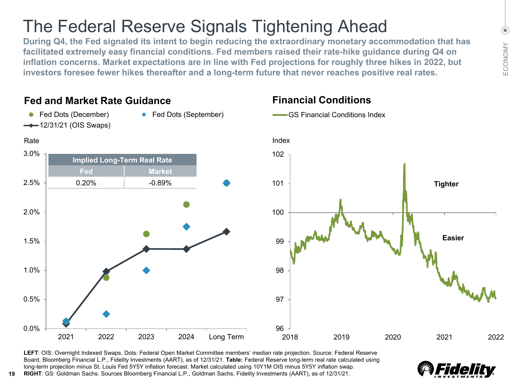### The Federal Reserve Signals Tightening Ahead

**During Q4, the Fed signaled its intent to begin reducing the extraordinary monetary accommodation that has facilitated extremely easy financial conditions. Fed members raised their rate-hike guidance during Q4 on inflation concerns. Market expectations are in line with Fed projections for roughly three hikes in 2022, but investors foresee fewer hikes thereafter and a long-term future that never reaches positive real rates.**

#### 0.0% 0.5% 1.0% 1.5% 2.0% 2.5% 3.0% 2021 2022 2023 2024 Long Term ● Fed Dots (December) → Fed Dots (September)  $-$ 12/31/21 (OIS Swaps) Rate 96 97 98 99 100 101 102 2018 2019 2020 2021 2022 GS Financial Conditions Index Index **Tighter Easier Fed and Market Rate Guidance Financial Conditions Implied Long-Term Real Rate Fed Market**  $0.20\%$   $-0.89\%$

**LEFT**: OIS: Overnight Indexed Swaps. Dots: Federal Open Market Committee members' median rate projection. Source: Federal Reserve Board, Bloomberg Financial L.P., Fidelity Investments (AART), as of 12/31/21. **Table:** Federal Reserve long-term real rate calculated using long-term projection minus St. Louis Fed 5Y5Y inflation forecast. Market calculated using 10Y1M OIS minus 5Y5Y inflation swap. **RIGHT**: GS: Goldman Sachs. Sources Bloomberg Financial L.P., Goldman Sachs, Fidelity Investments (AART), as of 12/31/21.



 $\odot$ 

**19**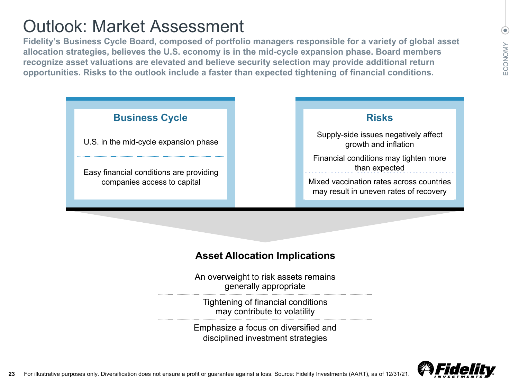### Outlook: Market Assessment

**Fidelity's Business Cycle Board, composed of portfolio managers responsible for a variety of global asset allocation strategies, believes the U.S. economy is in the mid-cycle expansion phase. Board members recognize asset valuations are elevated and believe security selection may provide additional return opportunities. Risks to the outlook include a faster than expected tightening of financial conditions.**



### **Asset Allocation Implications**

An overweight to risk assets remains generally appropriate

Tightening of financial conditions may contribute to volatility

Emphasize a focus on diversified and disciplined investment strategies



 $\circledbullet$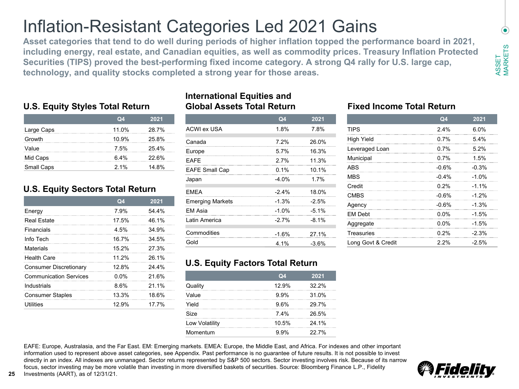### Inflation-Resistant Categories Led 2021 Gains

**Asset categories that tend to do well during periods of higher inflation topped the performance board in 2021, including energy, real estate, and Canadian equities, as well as commodity prices. Treasury Inflation Protected Securities (TIPS) proved the best-performing fixed income category. A strong Q4 rally for U.S. large cap, technology, and quality stocks completed a strong year for those areas.**

#### **U.S. Equity Styles Total Return**

|            | Q <sub>4</sub> | 2021  |
|------------|----------------|-------|
| Large Caps | 11.0%          | 28.7% |
| Growth     | 10.9%          | 25.8% |
| Value      | 7.5%           | 25.4% |
| Mid Caps   | 64%            | 22.6% |
| Small Caps | 2.1%           | 14.8% |

#### **U.S. Equity Sectors Total Return**

|                               | Q <sub>4</sub> | 2021  |
|-------------------------------|----------------|-------|
| Energy                        | 7.9%           | 54.4% |
| Real Estate                   | 17.5%          | 46.1% |
| Financials                    | 4.5%           | 34.9% |
| Info Tech                     | 167%           | 34.5% |
| Materials                     | 15 2%          | 27 3% |
| <b>Health Care</b>            | 11 2%          | 26.1% |
| Consumer Discretionary        | 12.8%          | 24.4% |
| <b>Communication Services</b> | $0.0\%$        | 21.6% |
| Industrials                   | 8.6%           | 21 1% |
| <b>Consumer Staples</b>       | 13.3%          | 18.6% |
| Utilities                     | 12.9%          | 17 7% |

#### **International Equities and Global Assets Total Return**

|                         | Q <sub>4</sub> | 2021     |
|-------------------------|----------------|----------|
| ACWI ex USA             | 1.8%           | 7.8%     |
| Canada                  | 7.2%           | 26.0%    |
| Europe                  | 5.7%           | 16.3%    |
| FAFF                    | 27%            | 11.3%    |
| <b>EAFE Small Cap</b>   | 0.1%           | 10.1%    |
| Japan                   | $-4.0%$        | 17%      |
| <b>EMEA</b>             | $-2.4%$        | 18.0%    |
| <b>Emerging Markets</b> | $-1.3%$        | $-2.5%$  |
| FM Asia                 | $-1.0%$        | $-5.1\%$ |
| Latin America           | $-27%$         | $-8.1%$  |
| Commodities             | $-1.6%$        | 27.1%    |
| Gold                    | 4.1%           | $-3.6%$  |

#### **Fixed Income Total Return**

|                    | Q <sub>4</sub> | 2021    |
|--------------------|----------------|---------|
| <b>TIPS</b>        | 2.4%           | 6.0%    |
| High Yield         | 0.7%           | 5.4%    |
| Leveraged Loan     | 0.7%           | 5.2%    |
| Municipal          | 0.7%           | 1.5%    |
| ABS                | $-0.6%$        | $-0.3%$ |
| <b>MBS</b>         | $-0.4%$        | $-1.0%$ |
| Credit             | 0.2%           | $-1.1%$ |
| <b>CMBS</b>        | $-0.6%$        | $-1.2%$ |
| Agency             | $-0.6%$        | $-1.3%$ |
| <b>EM Debt</b>     | $0.0\%$        | $-1.5%$ |
| Aggregate          | $0.0\%$        | $-1.5%$ |
| Treasuries         | 0.2%           | $-2.3%$ |
| Long Govt & Credit | 2.2%           | $-2.5%$ |

#### **U.S. Equity Factors Total Return**

|                | Q <sub>4</sub> | 2021  |
|----------------|----------------|-------|
| Quality        | 12.9%          | 32.2% |
| Value          | 9.9%           | 31.0% |
| Yield          | 9.6%           | 29.7% |
| Size           | 7.4%           | 26.5% |
| Low Volatility | 10.5%          | 24.1% |
| Momentum       | 9.9%           | 22.7% |

EAFE: Europe, Australasia, and the Far East. EM: Emerging markets. EMEA: Europe, the Middle East, and Africa. For indexes and other important information used to represent above asset categories, see Appendix. Past performance is no guarantee of future results. It is not possible to invest directly in an index. All indexes are unmanaged. Sector returns represented by S&P 500 sectors. Sector investing involves risk. Because of its narrow focus, sector investing may be more volatile than investing in more diversified baskets of securities. Source: Bloomberg Finance L.P., Fidelity **25** Investments (AART), as of 12/31/21.



 $\bullet$ 

**MARKETS** MARKETS

ASSET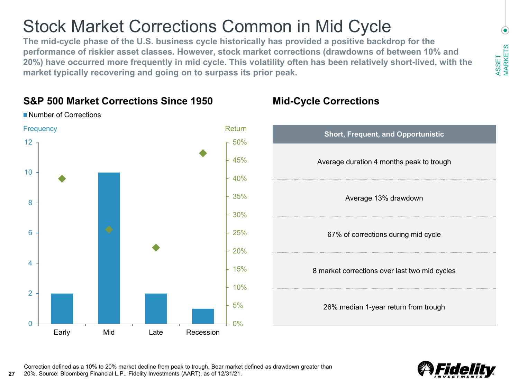### Stock Market Corrections Common in Mid Cycle

**The mid-cycle phase of the U.S. business cycle historically has provided a positive backdrop for the performance of riskier asset classes. However, stock market corrections (drawdowns of between 10% and 20%) have occurred more frequently in mid cycle. This volatility often has been relatively short-lived, with the market typically recovering and going on to surpass its prior peak.** 



**Number of Corrections** 

**27**

### **S&P 500 Market Corrections Since 1950 Mid-Cycle Corrections**





**MARKETS** 

ASSET MARKETS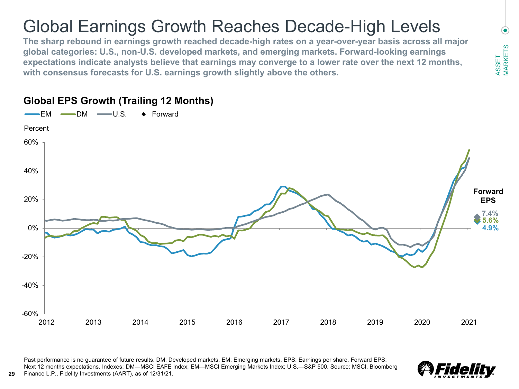### Global Earnings Growth Reaches Decade-High Levels

**The sharp rebound in earnings growth reached decade-high rates on a year-over-year basis across all major global categories: U.S., non-U.S. developed markets, and emerging markets. Forward-looking earnings expectations indicate analysts believe that earnings may converge to a lower rate over the next 12 months, with consensus forecasts for U.S. earnings growth slightly above the others.**



#### **Global EPS Growth (Trailing 12 Months)**

Past performance is no guarantee of future results. DM: Developed markets. EM: Emerging markets. EPS: Earnings per share. Forward EPS: Next 12 months expectations. Indexes: DM—MSCI EAFE Index; EM—MSCI Emerging Markets Index; U.S.—S&P 500. Source: MSCI, Bloomberg **29** Finance L.P., Fidelity Investments (AART), as of 12/31/21.



 $\left( \bullet \right)$ ASSET MARKETS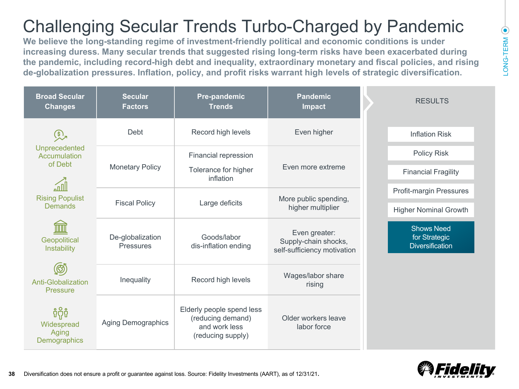### $\textcolor{blue}{\bullet}$ LONG-TERM LONG-TERM

# Challenging Secular Trends Turbo-Charged by Pandemic

**We believe the long-standing regime of investment-friendly political and economic conditions is under increasing duress. Many secular trends that suggested rising long-term risks have been exacerbated during the pandemic, including record-high debt and inequality, extraordinary monetary and fiscal policies, and rising de-globalization pressures. Inflation, policy, and profit risks warrant high levels of strategic diversification.** 

| <b>Broad Secular</b><br><b>Changes</b>        | <b>Secular</b><br><b>Factors</b> | Pre-pandemic<br><b>Pandemic</b><br><b>Trends</b><br><b>Impact</b>                    |                                                                      | <b>RESULTS</b>                                               |
|-----------------------------------------------|----------------------------------|--------------------------------------------------------------------------------------|----------------------------------------------------------------------|--------------------------------------------------------------|
| $\mathcal{L}$                                 | Debt                             | Record high levels                                                                   | Even higher                                                          | <b>Inflation Risk</b>                                        |
| Unprecedented<br>Accumulation                 |                                  | Financial repression                                                                 |                                                                      | Policy Risk                                                  |
| of Debt                                       | <b>Monetary Policy</b>           | Tolerance for higher<br>inflation                                                    | Even more extreme                                                    | <b>Financial Fragility</b>                                   |
| <b>Rising Populist</b>                        |                                  |                                                                                      | More public spending,                                                | Profit-margin Pressures                                      |
| Demands                                       | <b>Fiscal Policy</b>             | Large deficits                                                                       | higher multiplier                                                    | <b>Higher Nominal Growth</b>                                 |
| Geopolitical<br>Instability                   | De-globalization<br>Pressures    | Goods/labor<br>dis-inflation ending                                                  | Even greater:<br>Supply-chain shocks,<br>self-sufficiency motivation | <b>Shows Need</b><br>for Strategic<br><b>Diversification</b> |
| (හි)<br><b>Anti-Globalization</b><br>Pressure | Inequality                       | Record high levels                                                                   | Wages/labor share<br>rising                                          |                                                              |
| ទំពុំ<br>Widespread<br>Aging<br>Demographics  | <b>Aging Demographics</b>        | Elderly people spend less<br>(reducing demand)<br>and work less<br>(reducing supply) | Older workers leave<br>labor force                                   |                                                              |

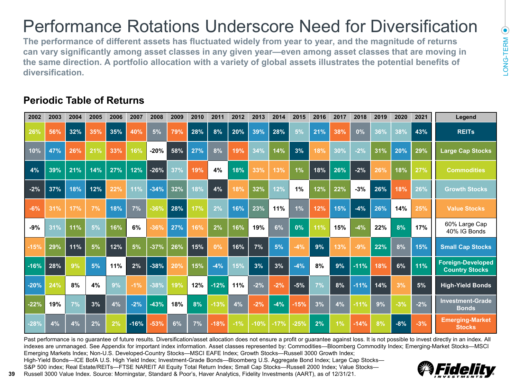# Performance Rotations Underscore Need for Diversification

**The performance of different assets has fluctuated widely from year to year, and the magnitude of returns can vary significantly among asset classes in any given year—even among asset classes that are moving in the same direction. A portfolio allocation with a variety of global assets illustrates the potential benefits of diversification.**

### **Periodic Table of Returns**

| 2002   | 2003 | 2004 | 2005 | 2006 | 2007   | 2008   | 2009 | 2010 | 2011   | 2012  | 2013   | 2014   | 2015   | 2016 | 2017 | 2018   | 2019 | 2020  | 2021  | Legend                                     |
|--------|------|------|------|------|--------|--------|------|------|--------|-------|--------|--------|--------|------|------|--------|------|-------|-------|--------------------------------------------|
| 26%    | 56%  | 32%  | 35%  | 35%  | 40%    | 5%     | 79%  | 28%  | 8%     | 20%   | 39%    | 28%    | 5%     | 21%  | 38%  | 0%     | 36%  | 38%   | 43%   | <b>REITs</b>                               |
| 10%    | 47%  | 26%  | 21%  | 33%  | 16%    | $-20%$ | 58%  | 27%  | 8%     | 19%   | 34%    | 14%    | 3%     | 18%  | 30%  | $-2%$  | 31%  | 20%   | 29%   | <b>Large Cap Stocks</b>                    |
| 4%     | 39%  | 21%  | 14%  | 27%  | 12%    | $-26%$ | 37%  | 19%  | 4%     | 18%   | 33%    | 13%    | 1%     | 18%  | 26%  | $-2%$  | 26%  | 18%   | 27%   | <b>Commodities</b>                         |
| $-2%$  | 37%  | 18%  | 12%  | 22%  | 11%    | $-34%$ | 32%  | 18%  | 4%     | 18%   | 32%    | 12%    | 1%     | 12%  | 22%  | $-3%$  | 26%  | 18%   | 26%   | <b>Growth Stocks</b>                       |
| $-6%$  | 31%  | 17%  | 7%   | 18%  | 7%     | $-36%$ | 28%  | 17%  | 2%     | 16%   | 23%    | 11%    | 1%     | 12%  | 15%  | $-4%$  | 26%  | 14%   | 25%   | <b>Value Stocks</b>                        |
| $-9%$  | 31%  | 11%  | 5%   | 16%  | 6%     | $-36%$ | 27%  | 16%  | 2%     | 16%   | 19%    | 6%     | 0%     | 11%  | 15%  | $-4%$  | 22%  | 8%    | 17%   | 60% Large Cap<br>40% IG Bonds              |
| $-15%$ | 29%  | 11%  | 5%   | 12%  | 5%     | $-37%$ | 26%  | 15%  | 0%     | 16%   | 7%     | 5%     | $-4%$  | 9%   | 13%  | $-9%$  | 22%  | 8%    | 15%   | <b>Small Cap Stocks</b>                    |
| $-16%$ | 28%  | 9%   | 5%   | 11%  | 2%     | $-38%$ | 20%  | 15%  | $-4%$  | 15%   | 3%     | 3%     | $-4%$  | 8%   | 9%   | $-11%$ | 18%  | 6%    | 11%   | Foreign-Developed<br><b>Country Stocks</b> |
| $-20%$ | 24%  | 8%   | 4%   | 9%   | $-1%$  | $-38%$ | 19%  | 12%  | $-12%$ | 11%   | $-2%$  | $-2%$  | $-5%$  | 7%   | 8%   | $-11%$ | 14%  | 3%    | 5%    | <b>High-Yield Bonds</b>                    |
| $-22%$ | 19%  | 7%   | 3%   | 4%   | $-2%$  | $-43%$ | 18%  | 8%   | $-13%$ | 4%    | $-2%$  | $-4%$  | $-15%$ | 3%   | 4%   | $-11%$ | 9%   | $-3%$ | $-2%$ | <b>Investment-Grade</b><br><b>Bonds</b>    |
| $-28%$ | 4%   | 4%   | 2%   | 2%   | $-16%$ | $-53%$ | 6%   | 7%   | $-18%$ | $-1%$ | $-10%$ | $-17%$ | $-25%$ | 2%   | 1%   | $-14%$ | 8%   | $-8%$ | $-3%$ | <b>Emerging-Market</b><br><b>Stocks</b>    |

Past performance is no guarantee of future results. Diversification/asset allocation does not ensure a profit or guarantee against loss. It is not possible to invest directly in an index. All indexes are unmanaged. See Appendix for important index information. Asset classes represented by: Commodities—Bloomberg Commodity Index; Emerging-Market Stocks—MSCI Emerging Markets Index; Non-U.S. Developed-Country Stocks—MSCI EAFE Index; Growth Stocks—Russell 3000 Growth Index;

High-Yield Bonds—ICE BofA U.S. High Yield Index; Investment-Grade Bonds—Bloomberg U.S. Aggregate Bond Index; Large Cap Stocks— S&P 500 index; Real Estate/REITs—FTSE NAREIT All Equity Total Return Index; Small Cap Stocks—Russell 2000 Index; Value Stocks— **39** Russell 3000 Value Index. Source: Morningstar, Standard & Poor's, Haver Analytics, Fidelity Investments (AART), as of 12/31/21.

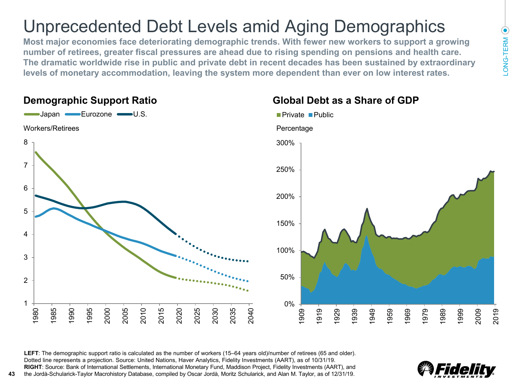## Unprecedented Debt Levels amid Aging Demographics

**Most major economies face deteriorating demographic trends. With fewer new workers to support a growing number of retirees, greater fiscal pressures are ahead due to rising spending on pensions and health care. The dramatic worldwide rise in public and private debt in recent decades has been sustained by extraordinary levels of monetary accommodation, leaving the system more dependent than ever on low interest rates.** 

#### **Demographic Support Ratio Global Debt as a Share of GDP**

**43**



**LEFT**: The demographic support ratio is calculated as the number of workers (15–64 years old)/number of retirees (65 and older). Dotted line represents a projection. Source: United Nations, Haver Analytics, Fidelity Investments (AART), as of 10/31/19. **RIGHT**: Source: Bank of International Settlements, International Monetary Fund, Maddison Project, Fidelity Investments (AART), and the Jordà-Schularick-Taylor Macrohistory Database, compiled by Oscar Jordà, Moritz Schularick, and Alan M. Taylor, as of 12/31/19.

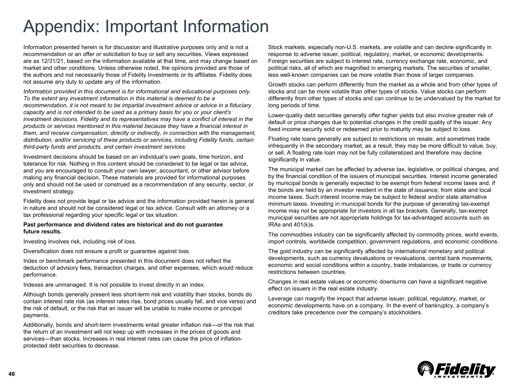Information presented herein is for discussion and illustrative purposes only and is not a recommendation or an offer or solicitation to buy or sell any securities. Views expressed are as 12/31/21, based on the information available at that time, and may change based on market and other conditions. Unless otherwise noted, the opinions provided are those of the authors and not necessarily those of Fidelity Investments or its affiliates. Fidelity does not assume any duty to update any of the information.

*Information provided in this document is for informational and educational purposes only. To the extent any investment information in this material is deemed to be a recommendation, it is not meant to be impartial investment advice or advice in a fiduciary capacity and is not intended to be used as a primary basis for you or your client's investment decisions. Fidelity and its representatives may have a conflict of interest in the products or services mentioned in this material because they have a financial interest in them, and receive compensation, directly or indirectly, in connection with the management, distribution, and/or servicing of these products or services, including Fidelity funds, certain third-party funds and products, and certain investment services.*

Investment decisions should be based on an individual's own goals, time horizon, and tolerance for risk. Nothing in this content should be considered to be legal or tax advice, and you are encouraged to consult your own lawyer, accountant, or other advisor before making any financial decision. These materials are provided for informational purposes only and should not be used or construed as a recommendation of any security, sector, or investment strategy.

Fidelity does not provide legal or tax advice and the information provided herein is general in nature and should not be considered legal or tax advice. Consult with an attorney or a tax professional regarding your specific legal or tax situation.

#### **Past performance and dividend rates are historical and do not guarantee future results.**

Investing involves risk, including risk of loss.

Diversification does not ensure a profit or guarantee against loss.

Index or benchmark performance presented in this document does not reflect the deduction of advisory fees, transaction charges, and other expenses, which would reduce performance.

Indexes are unmanaged. It is not possible to invest directly in an index.

Although bonds generally present less short-term risk and volatility than stocks, bonds do contain interest rate risk (as interest rates rise, bond prices usually fall, and vice versa) and the risk of default, or the risk that an issuer will be unable to make income or principal payments.

Additionally, bonds and short-term investments entail greater inflation risk—or the risk that the return of an investment will not keep up with increases in the prices of goods and services—than stocks. Increases in real interest rates can cause the price of inflationprotected debt securities to decrease.

Stock markets, especially non-U.S. markets, are volatile and can decline significantly in response to adverse issuer, political, regulatory, market, or economic developments. Foreign securities are subject to interest rate, currency exchange rate, economic, and political risks, all of which are magnified in emerging markets. The securities of smaller, less well-known companies can be more volatile than those of larger companies.

Growth stocks can perform differently from the market as a whole and from other types of stocks and can be more volatile than other types of stocks. Value stocks can perform differently from other types of stocks and can continue to be undervalued by the market for long periods of time.

Lower-quality debt securities generally offer higher yields but also involve greater risk of default or price changes due to potential changes in the credit quality of the issuer. Any fixed income security sold or redeemed prior to maturity may be subject to loss.

Floating rate loans generally are subject to restrictions on resale, and sometimes trade infrequently in the secondary market; as a result, they may be more difficult to value, buy, or sell. A floating rate loan may not be fully collateralized and therefore may decline significantly in value.

The municipal market can be affected by adverse tax, legislative, or political changes, and by the financial condition of the issuers of municipal securities. Interest income generated by municipal bonds is generally expected to be exempt from federal income taxes and, if the bonds are held by an investor resident in the state of issuance, from state and local income taxes. Such interest income may be subject to federal and/or state alternative minimum taxes. Investing in municipal bonds for the purpose of generating tax-exempt income may not be appropriate for investors in all tax brackets. Generally, tax-exempt municipal securities are not appropriate holdings for tax-advantaged accounts such as IRAs and 401(k)s.

The commodities industry can be significantly affected by commodity prices, world events, import controls, worldwide competition, government regulations, and economic conditions.

The gold industry can be significantly affected by international monetary and political developments, such as currency devaluations or revaluations, central bank movements, economic and social conditions within a country, trade imbalances, or trade or currency restrictions between countries.

Changes in real estate values or economic downturns can have a significant negative effect on issuers in the real estate industry.

Leverage can magnify the impact that adverse issuer, political, regulatory, market, or economic developments have on a company. In the event of bankruptcy, a company's creditors take precedence over the company's stockholders.

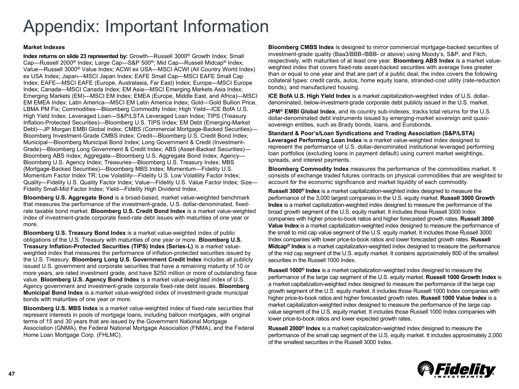#### **Market Indexes**

**Index returns on slide 23 represented by:** Growth—Russell 3000® Growth Index; Small Cap—Russell 2000® Index; Large Cap—S&P 500®; Mid Cap—Russell Midcap® Index; Value—Russell 3000® Value Index; ACWI ex USA—MSCI ACWI (All Country World Index) ex USA Index; Japan—MSCI Japan Index; EAFE Small Cap—MSCI EAFE Small Cap Index; EAFE—MSCI EAFE (Europe, Australasia, Far East) Index; Europe—MSCI Europe Index; Canada—MSCI Canada Index; EM Asia—MSCI Emerging Markets Asia Index; Emerging Markets (EM)—MSCI EM Index; EMEA (Europe, Middle East, and Africa)—MSCI EM EMEA Index; Latin America—MSCI EM Latin America Index; Gold—Gold Bullion Price, LBMA PM Fix; Commodities—Bloomberg Commodity Index; High Yield—ICE BofA U.S. High Yield Index; Leveraged Loan—S&P/LSTA Leveraged Loan Index; TIPS (Treasury Inflation-Protected Securities)—Bloomberg U.S. TIPS Index; EM Debt (Emerging-Market Debt)—JP Morgan EMBI Global Index; CMBS (Commercial Mortgage-Backed Securities)— Bloomberg Investment-Grade CMBS Index; Credit—Bloomberg U.S. Credit Bond Index; Municipal—Bloomberg Municipal Bond Index; Long Government & Credit (Investment-Grade)—Bloomberg Long Government & Credit Index; ABS (Asset-Backed Securities)— Bloomberg ABS Index; Aggregate—Bloomberg U.S. Aggregate Bond Index; Agency— Bloomberg U.S. Agency Index; Treasuries—Bloomberg U.S. Treasury Index; MBS (Mortgage-Backed Securities)—Bloomberg MBS Index; Momentum—Fidelity U.S. Momentum Factor Index TR; Low Volatility—Fidelity U.S. Low Volatility Factor Index; Quality—Fidelity U.S. Quality Factor Index; Value—Fidelity U.S. Value Factor Index; Size— Fidelity Small-Mid Factor Index; Yield—Fidelity High Dividend Index.

**Bloomberg U.S. Aggregate Bond** is a broad-based, market value-weighted benchmark that measures the performance of the investment-grade, U.S. dollar-denominated, fixedrate taxable bond market. **Bloomberg U.S. Credit Bond Index** is a market value-weighted index of investment-grade corporate fixed-rate debt issues with maturities of one year or more.

**Bloomberg U.S. Treasury Bond Index** is a market value-weighted index of public obligations of the U.S. Treasury with maturities of one year or more. **Bloomberg U.S. Treasury Inflation-Protected Securities (TIPS) Index (Series-L)** is a market valueweighted index that measures the performance of inflation-protected securities issued by the U.S. Treasury. **Bloomberg Long U.S. Government Credit Index** includes all publicly issued U.S. government and corporate securities that have a remaining maturity of 10 or more years, are rated investment grade, and have \$250 million or more of outstanding face value. **Bloomberg U.S. Agency Bond Index** is a market value-weighted index of U.S. Agency government and investment-grade corporate fixed-rate debt issues. **Bloomberg Municipal Bond Index** is a market value-weighted index of investment-grade municipal bonds with maturities of one year or more.

**Bloomberg U.S. MBS Index** is a market value-weighted index of fixed-rate securities that represent interests in pools of mortgage loans, including balloon mortgages, with original terms of 15 and 30 years that are issued by the Government National Mortgage Association (GNMA), the Federal National Mortgage Association (FNMA), and the Federal Home Loan Mortgage Corp. (FHLMC).

**Bloomberg CMBS Index** is designed to mirror commercial mortgage-backed securities of investment-grade quality (Baa3/BBB-/BBB- or above) using Moody's, S&P, and Fitch, respectively, with maturities of at least one year. **Bloomberg ABS Index** is a market valueweighted index that covers fixed-rate asset-backed securities with average lives greater than or equal to one year and that are part of a public deal; the index covers the following collateral types: credit cards, autos, home equity loans, stranded-cost utility (rate-reduction bonds), and manufactured housing.

**ICE BofA U.S. High Yield Index** is a market capitalization-weighted index of U.S. dollardenominated, below-investment-grade corporate debt publicly issued in the U.S. market.

**JPM® EMBI Global Index**, and its country sub-indexes, tracks total returns for the U.S. dollar-denominated debt instruments issued by emerging-market sovereign and quasisovereign entities, such as Brady bonds, loans, and Eurobonds.

**Standard & Poor's/Loan Syndications and Trading Association (S&P/LSTA) Leveraged Performing Loan Index** is a market value-weighted index designed to represent the performance of U.S. dollar-denominated institutional leveraged performing loan portfolios (excluding loans in payment default) using current market weightings, spreads, and interest payments.

**Bloomberg Commodity Index** measures the performance of the commodities market. It consists of exchange traded futures contracts on physical commodities that are weighted to account for the economic significance and market liquidity of each commodity.

**Russell 3000® Index** is a market capitalization-weighted index designed to measure the performance of the 3,000 largest companies in the U.S. equity market. **Russell 3000 Growth Index** is a market capitalization-weighted index designed to measure the performance of the broad growth segment of the U.S. equity market. It includes those Russell 3000 Index companies with higher price-to-book ratios and higher forecasted growth rates. **Russell 3000 Value Index** is a market capitalization-weighted index designed to measure the performance of the small to mid cap value segment of the U.S. equity market. It includes those Russell 3000 Index companies with lower price-to-book ratios and lower forecasted growth rates. **Russell Midcap® Index** is a market capitalization-weighted index designed to measure the performance of the mid cap segment of the U.S. equity market. It contains approximately 800 of the smallest securities in the Russell 1000 Index.

**Russell 1000® Index** is a market capitalization-weighted index designed to measure the performance of the large cap segment of the U.S. equity market. **Russell 1000 Growth Index** is a market capitalization-weighted index designed to measure the performance of the large cap growth segment of the U.S. equity market. It includes those Russell 1000 Index companies with higher price-to-book ratios and higher forecasted growth rates. **Russell 1000 Value Index** is a market capitalization-weighted index designed to measure the performance of the large cap value segment of the U.S. equity market. It includes those Russell 1000 Index companies with lower price-to-book ratios and lower expected growth rates.

**Russell 2000® Index** is a market capitalization-weighted index designed to measure the performance of the small cap segment of the U.S. equity market. It includes approximately 2,000 of the smallest securities in the Russell 3000 Index.

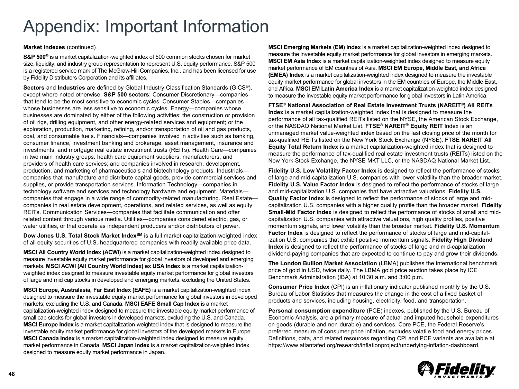#### **Market Indexes** (continued)

**S&P 500®** is a market capitalization-weighted index of 500 common stocks chosen for market size, liquidity, and industry group representation to represent U.S. equity performance. S&P 500 is a registered service mark of The McGraw-Hill Companies, Inc., and has been licensed for use by Fidelity Distributors Corporation and its affiliates.

**Sectors** and **Industries** are defined by Global Industry Classification Standards (GICS®), except where noted otherwise. **S&P 500 sectors**: Consumer Discretionary—companies that tend to be the most sensitive to economic cycles. Consumer Staples—companies whose businesses are less sensitive to economic cycles. Energy—companies whose businesses are dominated by either of the following activities: the construction or provision of oil rigs, drilling equipment, and other energy-related services and equipment; or the exploration, production, marketing, refining, and/or transportation of oil and gas products, coal, and consumable fuels. Financials—companies involved in activities such as banking, consumer finance, investment banking and brokerage, asset management, insurance and investments, and mortgage real estate investment trusts (REITs). Health Care—companies in two main industry groups: health care equipment suppliers, manufacturers, and providers of health care services; and companies involved in research, development, production, and marketing of pharmaceuticals and biotechnology products. Industrials companies that manufacture and distribute capital goods, provide commercial services and supplies, or provide transportation services. Information Technology—companies in technology software and services and technology hardware and equipment. Materials companies that engage in a wide range of commodity-related manufacturing. Real Estate companies in real estate development, operations, and related services, as well as equity REITs. Communication Services—companies that facilitate communication and offer related content through various media. Utilities—companies considered electric, gas, or water utilities, or that operate as independent producers and/or distributors of power.

**Dow Jones U.S. Total Stock Market Index<sup>SM</sup> is a full market capitalization-weighted index** of all equity securities of U.S.-headquartered companies with readily available price data.

**MSCI All Country World Index (ACWI)** is a market capitalization-weighted index designed to measure investable equity market performance for global investors of developed and emerging markets. **MSCI ACWI (All Country World Index) ex USA Index** is a market capitalizationweighted index designed to measure investable equity market performance for global investors of large and mid cap stocks in developed and emerging markets, excluding the United States.

**MSCI Europe, Australasia, Far East Index (EAFE)** is a market capitalization-weighted index designed to measure the investable equity market performance for global investors in developed markets, excluding the U.S. and Canada. **MSCI EAFE Small Cap Index** is a market capitalization-weighted index designed to measure the investable equity market performance of small cap stocks for global investors in developed markets, excluding the U.S. and Canada. **MSCI Europe Index** is a market capitalization-weighted index that is designed to measure the investable equity market performance for global investors of the developed markets in Europe. **MSCI Canada Index** is a market capitalization-weighted index designed to measure equity market performance in Canada. **MSCI Japan Index** is a market capitalization-weighted index designed to measure equity market performance in Japan.

**MSCI Emerging Markets (EM) Index** is a market capitalization-weighted index designed to measure the investable equity market performance for global investors in emerging markets. **MSCI EM Asia Index** is a market capitalization-weighted index designed to measure equity market performance of EM countries of Asia. **MSCI EM Europe, Middle East, and Africa (EMEA) Index** is a market capitalization-weighted index designed to measure the investable equity market performance for global investors in the EM countries of Europe, the Middle East, and Africa. **MSCI EM Latin America Index** is a market capitalization-weighted index designed to measure the investable equity market performance for global investors in Latin America.

**FTSE**® **National Association of Real Estate Investment Trusts (NAREIT**®**) All REITs Index** is a market capitalization-weighted index that is designed to measure the performance of all tax-qualified REITs listed on the NYSE, the American Stock Exchange, or the NASDAQ National Market List. **FTSE**® **NAREIT**® **Equity REIT** Index is an unmanaged market value-weighted index based on the last closing price of the month for tax-qualified REITs listed on the New York Stock Exchange (NYSE). **FTSE NAREIT All Equity Total Return Index** is a market capitalization-weighted index that is designed to measure the performance of tax-qualified real estate investment trusts (REITs) listed on the New York Stock Exchange, the NYSE MKT LLC, or the NASDAQ National Market List.

**Fidelity U.S. Low Volatility Factor Index** is designed to reflect the performance of stocks of large and mid-capitalization U.S. companies with lower volatility than the broader market. **Fidelity U.S. Value Factor Index** is designed to reflect the performance of stocks of large and mid-capitalization U.S. companies that have attractive valuations. **Fidelity U.S. Quality Factor Index** is designed to reflect the performance of stocks of large and midcapitalization U.S. companies with a higher quality profile than the broader market. **Fidelity Small-Mid Factor Index** is designed to reflect the performance of stocks of small and midcapitalization U.S. companies with attractive valuations, high quality profiles, positive momentum signals, and lower volatility than the broader market. **Fidelity U.S. Momentum Factor Index** is designed to reflect the performance of stocks of large and mid-capitalization U.S. companies that exhibit positive momentum signals. **Fidelity High Dividend Index** is designed to reflect the performance of stocks of large and mid-capitalization dividend-paying companies that are expected to continue to pay and grow their dividends.

**The London Bullion Market Association** (LBMA) publishes the international benchmark price of gold in USD, twice daily. The LBMA gold price auction takes place by ICE Benchmark Administration (IBA) at 10:30 a.m. and 3:00 p.m.

**Consumer Price Index** (CPI) is an inflationary indicator published monthly by the U.S. Bureau of Labor Statistics that measures the change in the cost of a fixed basket of products and services, including housing, electricity, food, and transportation.

**Personal consumption expenditure** (PCE) indexes, published by the U.S. Bureau of Economic Analysis, are a primary measure of actual and imputed household expenditures on goods (durable and non-durable) and services. Core PCE, the Federal Reserve's preferred measure of consumer price inflation, excludes volatile food and energy prices. Definitions, data, and related resources regarding CPI and PCE variants are available at https://www.atlantafed.org/research/inflationproject/underlying-inflation-dashboard.